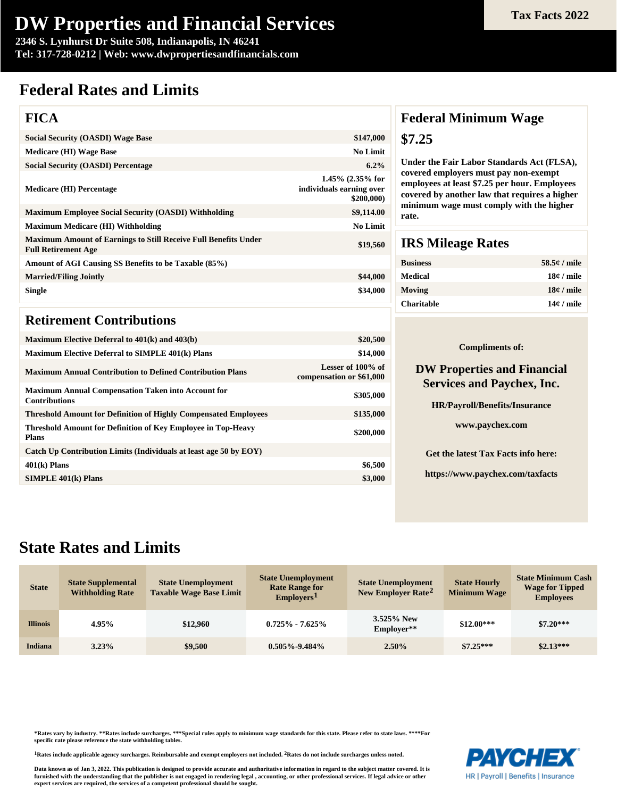# **DW Properties and Financial Services**

**2346 S. Lynhurst Dr Suite 508, Indianapolis, IN 46241 Tel: 317-728-0212 | Web: www.dwpropertiesandfinancials.com**

# **Federal Rates and Limits**

### **FICA**

| <b>Social Security (OASDI) Wage Base</b>                                                             | \$147,000                                                    |
|------------------------------------------------------------------------------------------------------|--------------------------------------------------------------|
| <b>Medicare (HI) Wage Base</b>                                                                       | <b>No Limit</b>                                              |
| <b>Social Security (OASDI) Percentage</b>                                                            | $6.2\%$                                                      |
| <b>Medicare (HI) Percentage</b>                                                                      | $1.45\%$ (2.35% for<br>individuals earning over<br>\$200,000 |
| <b>Maximum Employee Social Security (OASDI) Withholding</b>                                          | \$9,114.00                                                   |
| <b>Maximum Medicare (HI) Withholding</b>                                                             | <b>No Limit</b>                                              |
| <b>Maximum Amount of Earnings to Still Receive Full Benefits Under</b><br><b>Full Retirement Age</b> | \$19,560                                                     |
| Amount of AGI Causing SS Benefits to be Taxable (85%)                                                |                                                              |
| <b>Married/Filing Jointly</b>                                                                        | \$44,000                                                     |
| <b>Single</b>                                                                                        | \$34,000                                                     |
|                                                                                                      |                                                              |

### **Retirement Contributions**

| Maximum Elective Deferral to $401(k)$ and $403(b)$                                  | \$20,500                                      |
|-------------------------------------------------------------------------------------|-----------------------------------------------|
| <b>Maximum Elective Deferral to SIMPLE 401(k) Plans</b>                             | \$14,000                                      |
| <b>Maximum Annual Contribution to Defined Contribution Plans</b>                    | Lesser of 100% of<br>compensation or \$61,000 |
| <b>Maximum Annual Compensation Taken into Account for</b><br><b>Contributions</b>   | \$305,000                                     |
| <b>Threshold Amount for Definition of Highly Compensated Employees</b>              | \$135,000                                     |
| <b>Threshold Amount for Definition of Key Employee in Top-Heavy</b><br><b>Plans</b> | \$200,000                                     |
| Catch Up Contribution Limits (Individuals at least age 50 by EOY)                   |                                               |
| $401(k)$ Plans                                                                      | \$6,500                                       |
| $SIMPLE$ 401 $(k)$ Plans                                                            | \$3,000                                       |
|                                                                                     |                                               |

### **Federal Minimum Wage \$7.25**

**Under the Fair Labor Standards Act (FLSA), covered employers must pay non-exempt employees at least \$7.25 per hour. Employees covered by another law that requires a higher minimum wage must comply with the higher rate.**

### **IRS Mileage Rates**

| <b>Business</b>   | $58.5e /$ mile |
|-------------------|----------------|
| Medical           | $18¢$ / mile   |
| Moving            | $18¢$ / mile   |
| <b>Charitable</b> | $14¢$ / mile   |

#### **Compliments of:**

#### **DW Properties and Financial Services and Paychex, Inc.**

**HR/Payroll/Benefits/Insurance**

**www.paychex.com**

**Get the latest Tax Facts info here:**

**https://www.paychex.com/taxfacts**

## **State Rates and Limits**

| <b>State</b>    | <b>State Supplemental</b><br><b>Withholding Rate</b> | <b>State Unemployment</b><br><b>Taxable Wage Base Limit</b> | <b>State Unemployment</b><br><b>Rate Range for</b><br>Emplovers <sup>1</sup> | <b>State Unemployment</b><br>New Employer Rate <sup>2</sup> | <b>State Hourly</b><br><b>Minimum Wage</b> | <b>State Minimum Cash</b><br><b>Wage for Tipped</b><br><b>Employees</b> |
|-----------------|------------------------------------------------------|-------------------------------------------------------------|------------------------------------------------------------------------------|-------------------------------------------------------------|--------------------------------------------|-------------------------------------------------------------------------|
| <b>Illinois</b> | 4.95%                                                | \$12,960                                                    | $0.725\% - 7.625\%$                                                          | 3.525% New<br>Employer**                                    | $$12.00***$                                | $$7.20***$                                                              |
| Indiana         | 3.23%                                                | \$9,500                                                     | $0.505\% - 9.484\%$                                                          | $2.50\%$                                                    | $$7.25***$                                 | $$2.13***$                                                              |

**\*Rates vary by industry. \*\*Rates include surcharges. \*\*\*Special rules apply to minimum wage standards for this state. Please refer to state laws. \*\*\*\*For specific rate please reference the state withholding tables.**

**1Rates include applicable agency surcharges. Reimbursable and exempt employers not included. 2Rates do not include surcharges unless noted.**

**Data known as of Jan 3, 2022. This publication is designed to provide accurate and authoritative information in regard to the subject matter covered. It is furnished with the understanding that the publisher is not engaged in rendering legal , accounting, or other professional services. If legal advice or other expert services are required, the services of a competent professional should be sought.**